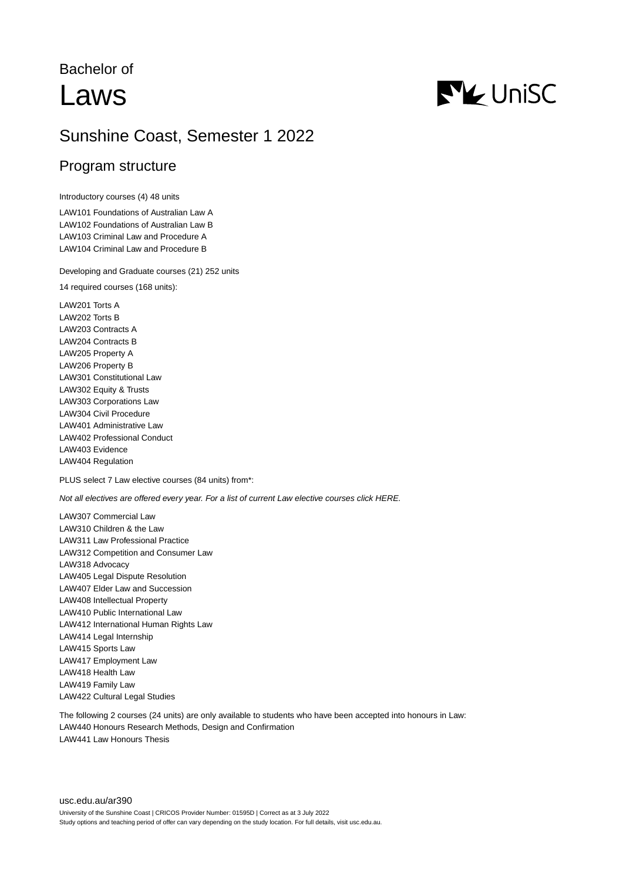# Bachelor of Laws



## Sunshine Coast, Semester 1 2022

## Program structure

Introductory courses (4) 48 units

LAW101 Foundations of Australian Law A LAW102 Foundations of Australian Law B LAW103 Criminal Law and Procedure A LAW104 Criminal Law and Procedure B

Developing and Graduate courses (21) 252 units

14 required courses (168 units):

LAW201 Torts A LAW202 Torts B LAW203 Contracts A LAW204 Contracts B LAW205 Property A LAW206 Property B LAW301 Constitutional Law LAW302 Equity & Trusts LAW303 Corporations Law LAW304 Civil Procedure LAW401 Administrative Law LAW402 Professional Conduct LAW403 Evidence LAW404 Regulation

PLUS select 7 Law elective courses (84 units) from\*:

Not all electives are offered every year. For a list of current Law elective courses click HERE.

LAW307 Commercial Law LAW310 Children & the Law LAW311 Law Professional Practice LAW312 Competition and Consumer Law LAW318 Advocacy LAW405 Legal Dispute Resolution LAW407 Elder Law and Succession LAW408 Intellectual Property LAW410 Public International Law LAW412 International Human Rights Law LAW414 Legal Internship LAW415 Sports Law LAW417 Employment Law LAW418 Health Law LAW419 Family Law LAW422 Cultural Legal Studies

The following 2 courses (24 units) are only available to students who have been accepted into honours in Law: LAW440 Honours Research Methods, Design and Confirmation LAW441 Law Honours Thesis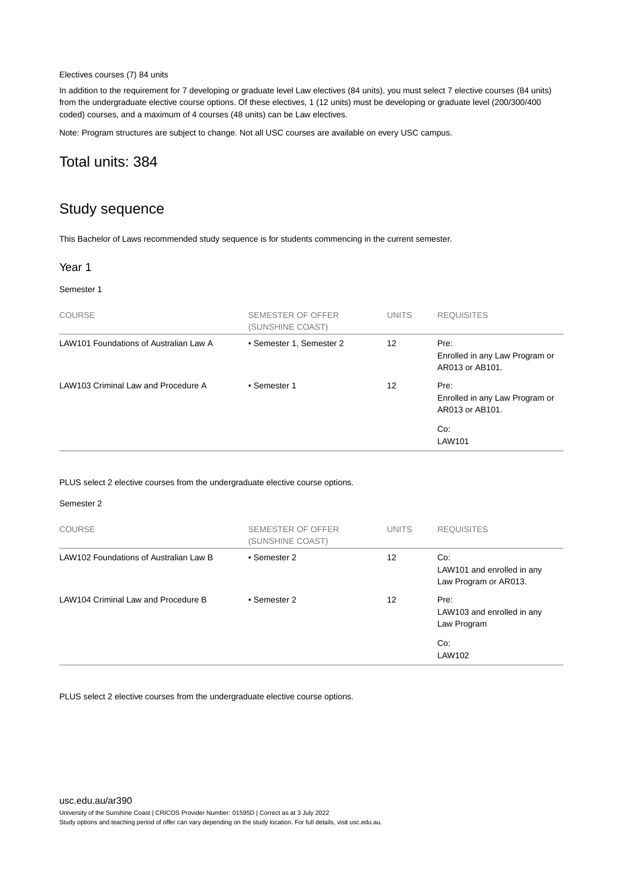#### Electives courses (7) 84 units

In addition to the requirement for 7 developing or graduate level Law electives (84 units), you must select 7 elective courses (84 units) from the undergraduate elective course options. Of these electives, 1 (12 units) must be developing or graduate level (200/300/400 coded) courses, and a maximum of 4 courses (48 units) can be Law electives.

Note: Program structures are subject to change. Not all USC courses are available on every USC campus.

## Total units: 384

## Study sequence

This Bachelor of Laws recommended study sequence is for students commencing in the current semester.

#### Year 1

#### Semester 1

| <b>COURSE</b>                          | SEMESTER OF OFFER<br>(SUNSHINE COAST) | <b>UNITS</b> | <b>REQUISITES</b>                                         |
|----------------------------------------|---------------------------------------|--------------|-----------------------------------------------------------|
| LAW101 Foundations of Australian Law A | • Semester 1, Semester 2              | 12           | Pre:<br>Enrolled in any Law Program or<br>AR013 or AB101. |
| LAW103 Criminal Law and Procedure A    | • Semester 1                          | 12           | Pre:<br>Enrolled in any Law Program or<br>AR013 or AB101. |
|                                        |                                       |              | Co:<br>LAW101                                             |

PLUS select 2 elective courses from the undergraduate elective course options.

#### Semester 2

| <b>COURSE</b>                          | SEMESTER OF OFFER<br>(SUNSHINE COAST) | <b>UNITS</b> | <b>REQUISITES</b>                                          |
|----------------------------------------|---------------------------------------|--------------|------------------------------------------------------------|
| LAW102 Foundations of Australian Law B | • Semester 2                          | 12           | Co:<br>LAW101 and enrolled in any<br>Law Program or AR013. |
| LAW104 Criminal Law and Procedure B    | • Semester 2                          | 12           | Pre:<br>LAW103 and enrolled in any<br>Law Program          |
|                                        |                                       |              | Co:<br>LAW102                                              |

PLUS select 2 elective courses from the undergraduate elective course options.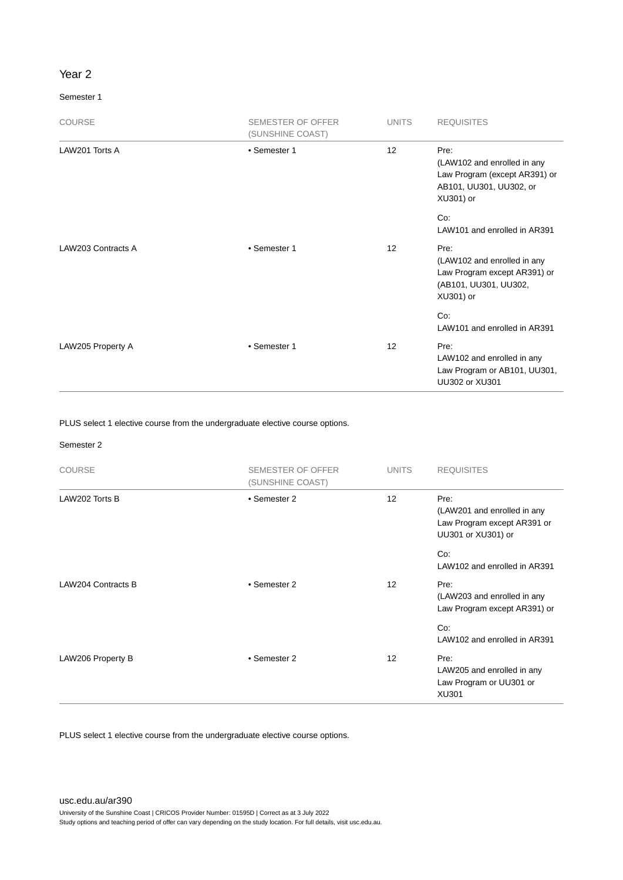#### Year 2

#### Semester 1

| <b>COURSE</b>      | <b>SEMESTER OF OFFER</b><br>(SUNSHINE COAST) | <b>UNITS</b> | <b>REQUISITES</b>                                                                                            |
|--------------------|----------------------------------------------|--------------|--------------------------------------------------------------------------------------------------------------|
| LAW201 Torts A     | • Semester 1                                 | 12           | Pre:<br>(LAW102 and enrolled in any<br>Law Program (except AR391) or<br>AB101, UU301, UU302, or<br>XU301) or |
|                    |                                              |              | Co:<br>LAW101 and enrolled in AR391                                                                          |
| LAW203 Contracts A | • Semester 1                                 | 12           | Pre:<br>(LAW102 and enrolled in any<br>Law Program except AR391) or<br>(AB101, UU301, UU302,<br>XU301) or    |
|                    |                                              |              | Co:<br>LAW101 and enrolled in AR391                                                                          |
| LAW205 Property A  | • Semester 1                                 | 12           | Pre:<br>LAW102 and enrolled in any<br>Law Program or AB101, UU301,<br>UU302 or XU301                         |

PLUS select 1 elective course from the undergraduate elective course options.

#### Semester 2

| <b>COURSE</b>      | <b>SEMESTER OF OFFER</b><br>(SUNSHINE COAST) | <b>UNITS</b>      | <b>REQUISITES</b>                                                                        |
|--------------------|----------------------------------------------|-------------------|------------------------------------------------------------------------------------------|
| LAW202 Torts B     | • Semester 2                                 | 12                | Pre:<br>(LAW201 and enrolled in any<br>Law Program except AR391 or<br>UU301 or XU301) or |
|                    |                                              |                   | Co:<br>LAW102 and enrolled in AR391                                                      |
| LAW204 Contracts B | • Semester 2                                 | $12 \overline{ }$ | Pre:<br>(LAW203 and enrolled in any<br>Law Program except AR391) or                      |
|                    |                                              |                   | Co:<br>LAW102 and enrolled in AR391                                                      |
| LAW206 Property B  | • Semester 2                                 | $12 \overline{ }$ | Pre:<br>LAW205 and enrolled in any<br>Law Program or UU301 or<br>XU301                   |

PLUS select 1 elective course from the undergraduate elective course options.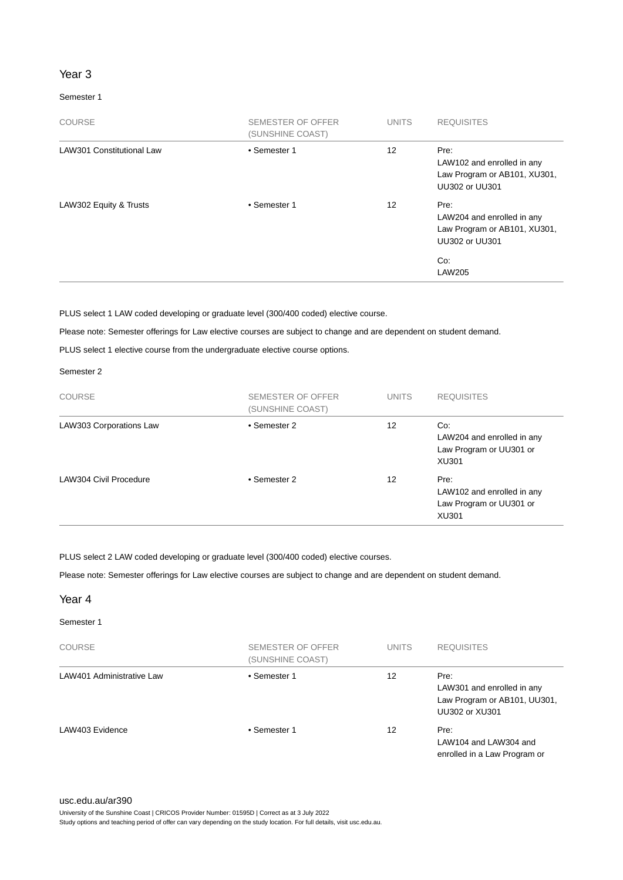#### Year 3

#### Semester 1

| <b>COURSE</b>                    | <b>SEMESTER OF OFFER</b><br>(SUNSHINE COAST) | <b>UNITS</b> | <b>REQUISITES</b>                                                                                                   |
|----------------------------------|----------------------------------------------|--------------|---------------------------------------------------------------------------------------------------------------------|
| <b>LAW301 Constitutional Law</b> | • Semester 1                                 | 12           | Pre:<br>LAW102 and enrolled in any<br>Law Program or AB101, XU301,<br><b>UU302 or UU301</b>                         |
| LAW302 Equity & Trusts           | • Semester 1                                 | 12           | Pre:<br>LAW204 and enrolled in any<br>Law Program or AB101, XU301,<br><b>UU302 or UU301</b><br>Co:<br><b>LAW205</b> |

PLUS select 1 LAW coded developing or graduate level (300/400 coded) elective course.

Please note: Semester offerings for Law elective courses are subject to change and are dependent on student demand.

PLUS select 1 elective course from the undergraduate elective course options.

#### Semester 2

| <b>COURSE</b>           | SEMESTER OF OFFER<br>(SUNSHINE COAST) | <b>UNITS</b> | <b>REQUISITES</b>                                                      |
|-------------------------|---------------------------------------|--------------|------------------------------------------------------------------------|
| LAW303 Corporations Law | • Semester 2                          | 12           | Co:<br>LAW204 and enrolled in any<br>Law Program or UU301 or<br>XU301  |
| LAW304 Civil Procedure  | • Semester 2                          | 12           | Pre:<br>LAW102 and enrolled in any<br>Law Program or UU301 or<br>XU301 |

PLUS select 2 LAW coded developing or graduate level (300/400 coded) elective courses.

Please note: Semester offerings for Law elective courses are subject to change and are dependent on student demand.

#### Year 4

#### Semester 1

| <b>COURSE</b>             | SEMESTER OF OFFER<br>(SUNSHINE COAST) | <b>UNITS</b> | <b>REQUISITES</b>                                                                    |
|---------------------------|---------------------------------------|--------------|--------------------------------------------------------------------------------------|
| LAW401 Administrative Law | • Semester 1                          | 12           | Pre:<br>LAW301 and enrolled in any<br>Law Program or AB101, UU301,<br>UU302 or XU301 |
| LAW403 Evidence           | • Semester 1                          | 12           | Pre:<br>LAW104 and LAW304 and<br>enrolled in a Law Program or                        |

University of the Sunshine Coast | CRICOS Provider Number: 01595D | Correct as at 3 July 2022

Study options and teaching period of offer can vary depending on the study location. For full details, visit usc.edu.au.